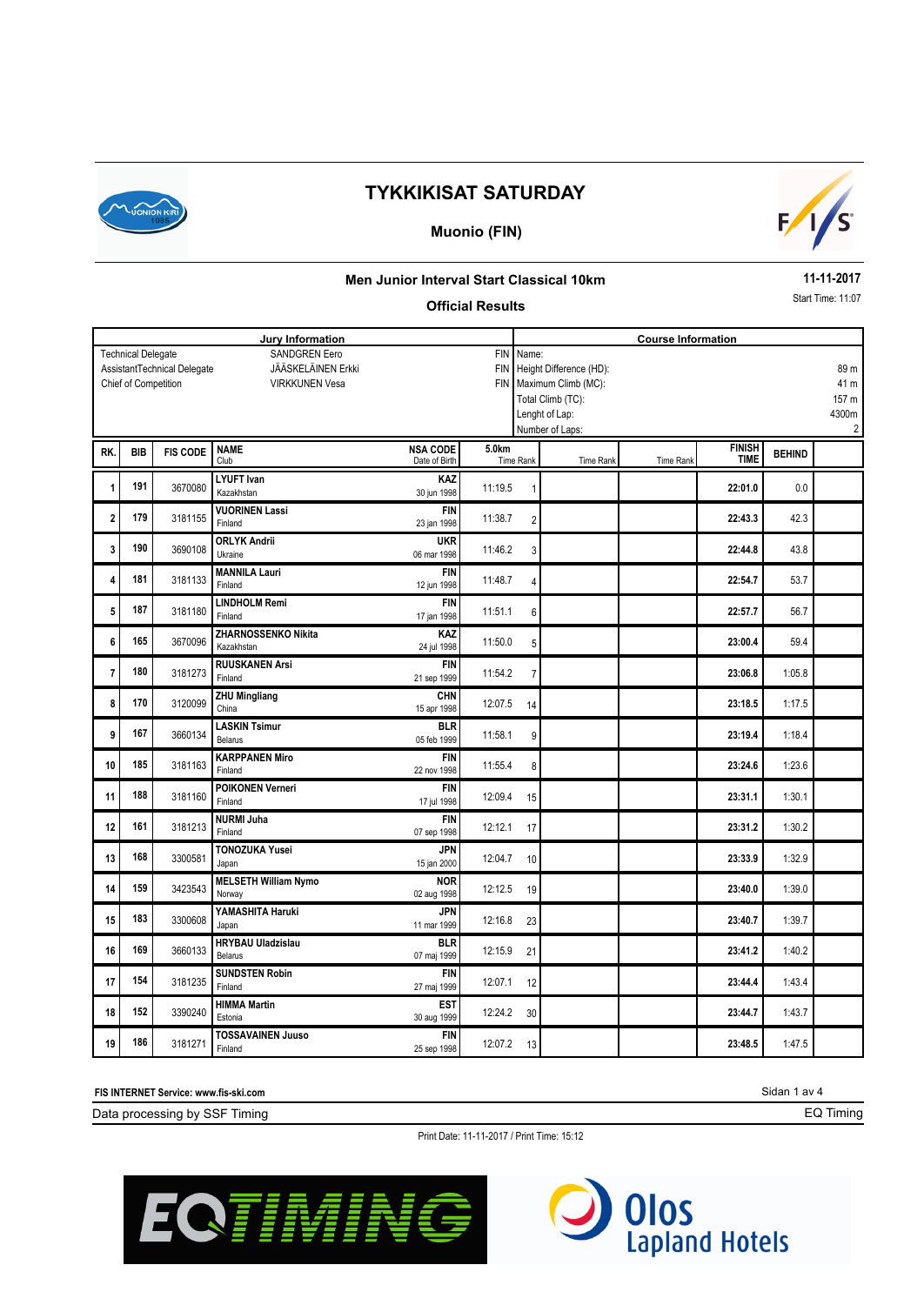

### **Muonio (FIN)**



#### **Men Junior Interval Start Classical 10km**

#### **Official Results**

**11-11-2017**

Start Time: 11:07

| Jury Information                                                |                      |                 |                                     |                           |         | <b>Course Information</b>       |                           |           |               |               |                         |  |
|-----------------------------------------------------------------|----------------------|-----------------|-------------------------------------|---------------------------|---------|---------------------------------|---------------------------|-----------|---------------|---------------|-------------------------|--|
| <b>SANDGREN Eero</b><br><b>Technical Delegate</b><br><b>FIN</b> |                      |                 |                                     |                           |         | Name:                           |                           |           |               |               |                         |  |
| JÄÄSKELÄINEN Erkki<br>AssistantTechnical Delegate<br><b>FIN</b> |                      |                 |                                     |                           |         | Height Difference (HD):<br>89 m |                           |           |               |               |                         |  |
|                                                                 | Chief of Competition |                 | <b>VIRKKUNEN Vesa</b>               |                           |         |                                 | FIN   Maximum Climb (MC): |           |               |               | 41 m                    |  |
|                                                                 |                      |                 |                                     |                           |         |                                 | Total Climb (TC):         |           |               |               | 157 m                   |  |
|                                                                 |                      |                 |                                     |                           |         |                                 | Lenght of Lap:            |           |               |               | 4300m                   |  |
|                                                                 |                      |                 |                                     |                           |         |                                 | Number of Laps:           |           |               |               | $\overline{\mathbf{c}}$ |  |
| RK.                                                             | <b>BIB</b>           | <b>FIS CODE</b> | <b>NAME</b>                         | <b>NSA CODE</b>           | 5.0km   |                                 |                           |           | <b>FINISH</b> | <b>BEHIND</b> |                         |  |
|                                                                 |                      |                 | Club                                | Date of Birth             |         | Time Rank                       | Time Rank                 | Time Rank | <b>TIME</b>   |               |                         |  |
| 1                                                               | 191                  | 3670080         | <b>LYUFT Ivan</b>                   | KAZ                       | 11:19.5 |                                 |                           |           | 22:01.0       | 0.0           |                         |  |
|                                                                 |                      |                 | Kazakhstan                          | 30 jun 1998               |         | $\mathbf{1}$                    |                           |           |               |               |                         |  |
| $\overline{2}$                                                  | 179                  | 3181155         | <b>VUORINEN Lassi</b>               | <b>FIN</b>                | 11:38.7 | $\overline{2}$                  |                           |           | 22:43.3       | 42.3          |                         |  |
|                                                                 |                      |                 | Finland                             | 23 jan 1998               |         |                                 |                           |           |               |               |                         |  |
| 3                                                               | 190                  | 3690108         | <b>ORLYK Andrii</b>                 | <b>UKR</b>                | 11:46.2 | 3                               |                           |           | 22:44.8       | 43.8          |                         |  |
|                                                                 |                      |                 | Ukraine                             | 06 mar 1998               |         |                                 |                           |           |               |               |                         |  |
| 4                                                               | 181                  | 3181133         | <b>MANNILA Lauri</b><br>Finland     | <b>FIN</b><br>12 jun 1998 | 11:48.7 | 4                               |                           |           | 22:54.7       | 53.7          |                         |  |
|                                                                 |                      |                 | <b>LINDHOLM Remi</b>                | <b>FIN</b>                |         |                                 |                           |           |               |               |                         |  |
| 5                                                               | 187                  | 3181180         | Finland                             | 17 jan 1998               | 11:51.1 | 6                               |                           |           | 22:57.7       | 56.7          |                         |  |
|                                                                 |                      |                 | <b>ZHARNOSSENKO Nikita</b>          | KAZ                       |         |                                 |                           |           |               |               |                         |  |
| 6                                                               | 165                  | 3670096         | Kazakhstan                          | 24 jul 1998               | 11:50.0 | 5                               |                           |           | 23:00.4       | 59.4          |                         |  |
|                                                                 |                      |                 | <b>RUUSKANEN Arsi</b>               | <b>FIN</b>                |         |                                 |                           |           |               |               |                         |  |
| $\overline{7}$                                                  | 180                  | 3181273         | Finland                             | 21 sep 1999               | 11:54.2 | $\overline{7}$                  |                           |           | 23:06.8       | 1:05.8        |                         |  |
| 8                                                               | 170                  | 3120099         | <b>ZHU Mingliang</b>                | <b>CHN</b>                | 12:07.5 |                                 |                           |           |               |               |                         |  |
|                                                                 |                      |                 | China                               | 15 apr 1998               |         | 14                              |                           |           | 23:18.5       | 1:17.5        |                         |  |
| 9                                                               | 167                  | 3660134         | <b>LASKIN Tsimur</b>                | <b>BLR</b>                | 11:58.1 | 9                               |                           |           | 23:19.4       | 1:18.4        |                         |  |
|                                                                 |                      |                 | Belarus                             | 05 feb 1999               |         |                                 |                           |           |               |               |                         |  |
| 10                                                              | 185                  | 3181163         | <b>KARPPANEN Miro</b><br>Finland    | <b>FIN</b><br>22 nov 1998 | 11:55.4 | 8                               |                           |           | 23:24.6       | 1:23.6        |                         |  |
|                                                                 |                      |                 |                                     |                           |         |                                 |                           |           |               |               |                         |  |
| 11                                                              | 188                  | 3181160         | <b>POIKONEN Verneri</b><br>Finland  | <b>FIN</b><br>17 jul 1998 | 12:09.4 | 15                              |                           |           | 23:31.1       | 1:30.1        |                         |  |
|                                                                 |                      |                 | <b>NURMI Juha</b>                   | <b>FIN</b>                |         |                                 |                           |           |               |               |                         |  |
| 12                                                              | 161                  | 3181213         | Finland                             | 07 sep 1998               | 12:12.1 | 17                              |                           |           | 23:31.2       | 1:30.2        |                         |  |
|                                                                 |                      |                 | <b>TONOZUKA Yusei</b>               | <b>JPN</b>                |         |                                 |                           |           |               |               |                         |  |
| 13                                                              | 168                  | 3300581         | Japan                               | 15 jan 2000               | 12:04.7 | 10                              |                           |           | 23:33.9       | 1:32.9        |                         |  |
|                                                                 |                      |                 | <b>MELSETH William Nymo</b>         | <b>NOR</b>                |         |                                 |                           |           |               |               |                         |  |
| 14                                                              | 159                  | 3423543         | Norway                              | 02 aug 1998               | 12:12.5 | 19                              |                           |           | 23:40.0       | 1:39.0        |                         |  |
|                                                                 | 183                  |                 | YAMASHITA Haruki                    | <b>JPN</b>                |         |                                 |                           |           |               |               |                         |  |
| 15                                                              |                      | 3300608         | Japan                               | 11 mar 1999               | 12:16.8 | 23                              |                           |           | 23:40.7       | 1:39.7        |                         |  |
| 16                                                              | 169                  | 3660133         | <b>HRYBAU Uladzislau</b>            | <b>BLR</b>                | 12:15.9 | 21                              |                           |           | 23:41.2       | 1:40.2        |                         |  |
|                                                                 |                      |                 | Belarus                             | 07 maj 1999               |         |                                 |                           |           |               |               |                         |  |
| 17                                                              | 154                  | 3181235         | <b>SUNDSTEN Robin</b>               | <b>FIN</b>                | 12:07.1 | 12                              |                           |           | 23:44.4       | 1:43.4        |                         |  |
|                                                                 |                      |                 | Finland                             | 27 maj 1999               |         |                                 |                           |           |               |               |                         |  |
| 18                                                              | 152                  | 3390240         | <b>HIMMA Martin</b><br>Estonia      | <b>EST</b><br>30 aug 1999 | 12:24.2 | 30                              |                           |           | 23:44.7       | 1:43.7        |                         |  |
|                                                                 |                      |                 |                                     |                           |         |                                 |                           |           |               |               |                         |  |
| 19                                                              | 186                  | 3181271         | <b>TOSSAVAINEN Juuso</b><br>Finland | <b>FIN</b><br>25 sep 1998 | 12:07.2 | 13                              |                           |           | 23:48.5       | 1:47.5        |                         |  |
|                                                                 |                      |                 |                                     |                           |         |                                 |                           |           |               |               |                         |  |

**FIS INTERNET Service: www.fis-ski.com**

Data processing by SSF Timing

Print Date: 11-11-2017 / Print Time: 15:12





Sidan 1 av 4

EQ Timing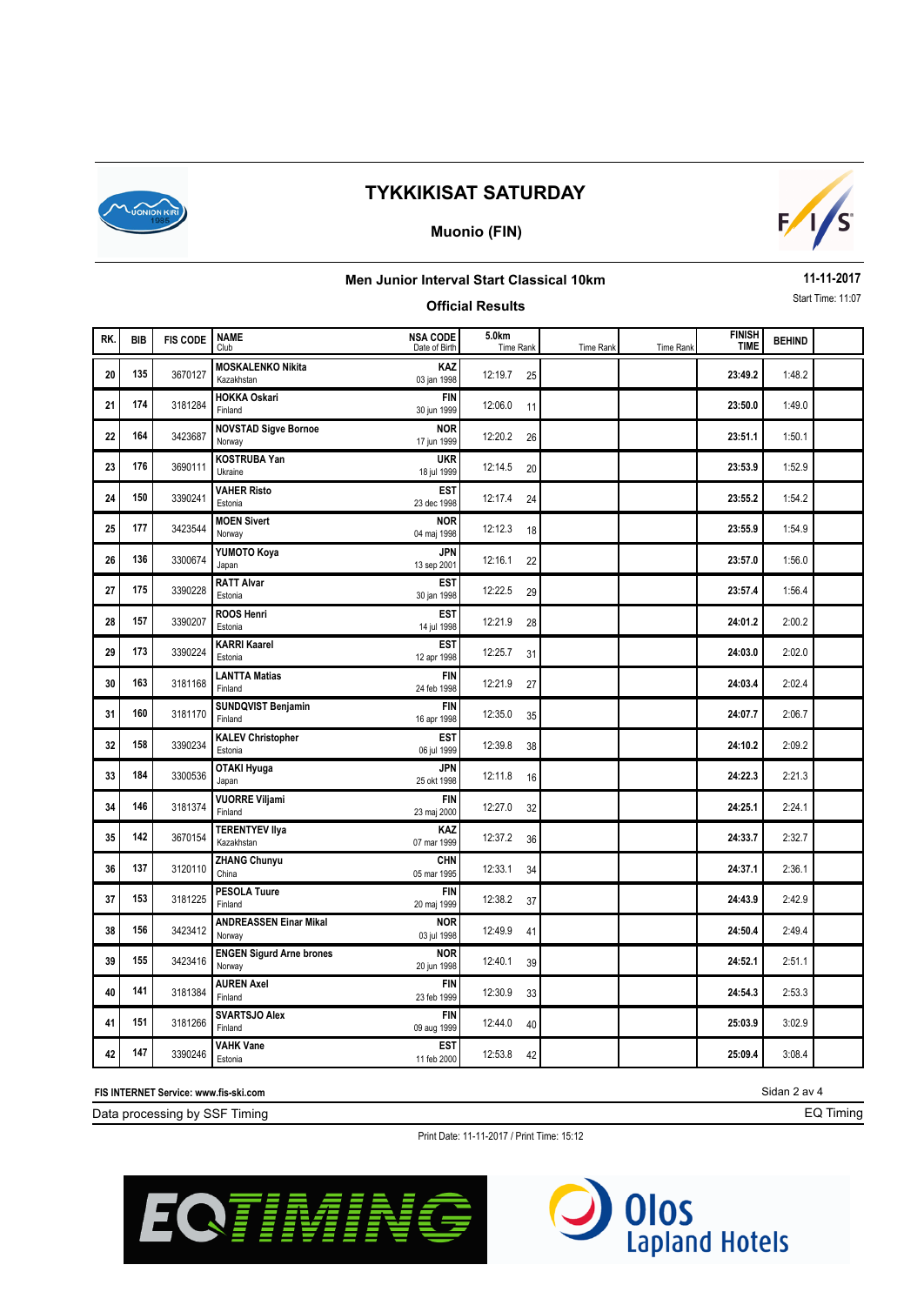

#### **Muonio (FIN)**



### **Men Junior Interval Start Classical 10km**

### **Official Results**

**11-11-2017** Start Time: 11:07

| RK. | <b>BIB</b> | <b>FIS CODE</b> | <b>NAME</b><br>Club                       | <b>NSA CODE</b><br>Date of Birth | 5.0km<br>Time Rank | Time Rank | Time Rank | <b>FINISH</b><br><b>TIME</b> | <b>BEHIND</b> |  |
|-----|------------|-----------------|-------------------------------------------|----------------------------------|--------------------|-----------|-----------|------------------------------|---------------|--|
| 20  | 135        | 3670127         | <b>MOSKALENKO Nikita</b><br>Kazakhstan    | KAZ<br>03 jan 1998               | 12:19.7<br>25      |           |           | 23:49.2                      | 1:48.2        |  |
| 21  | 174        | 3181284         | <b>HOKKA Oskari</b><br>Finland            | <b>FIN</b><br>30 jun 1999        | 12:06.0<br>11      |           |           | 23:50.0                      | 1:49.0        |  |
| 22  | 164        | 3423687         | <b>NOVSTAD Sigve Bornoe</b><br>Norway     | <b>NOR</b><br>17 jun 1999        | 12:20.2<br>26      |           |           | 23:51.1                      | 1:50.1        |  |
| 23  | 176        | 3690111         | <b>KOSTRUBA Yan</b><br>Ukraine            | <b>UKR</b><br>18 jul 1999        | 12:14.5<br>20      |           |           | 23:53.9                      | 1:52.9        |  |
| 24  | 150        | 3390241         | <b>VAHER Risto</b><br>Estonia             | <b>EST</b><br>23 dec 1998        | 12:17.4<br>24      |           |           | 23:55.2                      | 1:54.2        |  |
| 25  | 177        | 3423544         | <b>MOEN Sivert</b><br>Norway              | <b>NOR</b><br>04 maj 1998        | 12:12.3<br>18      |           |           | 23:55.9                      | 1:54.9        |  |
| 26  | 136        | 3300674         | YUMOTO Koya<br>Japan                      | JPN<br>13 sep 2001               | 12:16.1<br>22      |           |           | 23:57.0                      | 1:56.0        |  |
| 27  | 175        | 3390228         | <b>RATT Alvar</b><br>Estonia              | <b>EST</b><br>30 jan 1998        | 12:22.5<br>29      |           |           | 23:57.4                      | 1:56.4        |  |
| 28  | 157        | 3390207         | <b>ROOS Henri</b><br>Estonia              | EST<br>14 jul 1998               | 12:21.9<br>28      |           |           | 24:01.2                      | 2:00.2        |  |
| 29  | 173        | 3390224         | <b>KARRI Kaarel</b><br>Estonia            | <b>EST</b><br>12 apr 1998        | 12:25.7<br>31      |           |           | 24:03.0                      | 2:02.0        |  |
| 30  | 163        | 3181168         | <b>LANTTA Matias</b><br>Finland           | <b>FIN</b><br>24 feb 1998        | 12:21.9<br>27      |           |           | 24:03.4                      | 2:02.4        |  |
| 31  | 160        | 3181170         | <b>SUNDQVIST Benjamin</b><br>Finland      | <b>FIN</b><br>16 apr 1998        | 12:35.0<br>35      |           |           | 24:07.7                      | 2:06.7        |  |
| 32  | 158        | 3390234         | <b>KALEV Christopher</b><br>Estonia       | <b>EST</b><br>06 jul 1999        | 12:39.8<br>38      |           |           | 24:10.2                      | 2:09.2        |  |
| 33  | 184        | 3300536         | OTAKI Hyuga<br>Japan                      | <b>JPN</b><br>25 okt 1998        | 12:11.8<br>16      |           |           | 24:22.3                      | 2:21.3        |  |
| 34  | 146        | 3181374         | <b>VUORRE Viljami</b><br>Finland          | <b>FIN</b><br>23 maj 2000        | 12:27.0<br>32      |           |           | 24:25.1                      | 2:24.1        |  |
| 35  | 142        | 3670154         | <b>TERENTYEV IIya</b><br>Kazakhstan       | KAZ<br>07 mar 1999               | 12:37.2<br>36      |           |           | 24:33.7                      | 2:32.7        |  |
| 36  | 137        | 3120110         | <b>ZHANG Chunyu</b><br>China              | CHN<br>05 mar 1995               | 12:33.1<br>34      |           |           | 24:37.1                      | 2:36.1        |  |
| 37  | 153        | 3181225         | <b>PESOLA Tuure</b><br>Finland            | <b>FIN</b><br>20 maj 1999        | 12:38.2<br>37      |           |           | 24:43.9                      | 2:42.9        |  |
| 38  | 156        | 3423412         | <b>ANDREASSEN Einar Mikal</b><br>Norway   | <b>NOR</b><br>03 jul 1998        | 12:49.9<br>41      |           |           | 24:50.4                      | 2:49.4        |  |
| 39  | 155        | 3423416         | <b>ENGEN Sigurd Arne brones</b><br>Norway | <b>NOR</b><br>20 jun 1998        | 12:40.1<br>39      |           |           | 24:52.1                      | 2:51.1        |  |
| 40  | 141        | 3181384         | <b>AUREN Axel</b><br>Finland              | <b>FIN</b><br>23 feb 1999        | 12:30.9<br>33      |           |           | 24:54.3                      | 2:53.3        |  |
| 41  | 151        | 3181266         | <b>SVARTSJO Alex</b><br>Finland           | <b>FIN</b><br>09 aug 1999        | 12:44.0<br>40      |           |           | 25:03.9                      | 3:02.9        |  |
| 42  | 147        | 3390246         | <b>VAHK Vane</b><br>Estonia               | <b>EST</b><br>11 feb 2000        | 12:53.8<br>42      |           |           | 25:09.4                      | 3:08.4        |  |

**FIS INTERNET Service: www.fis-ski.com**

Data processing by SSF Timing

Print Date: 11-11-2017 / Print Time: 15:12





Sidan 2 av 4

EQ Timing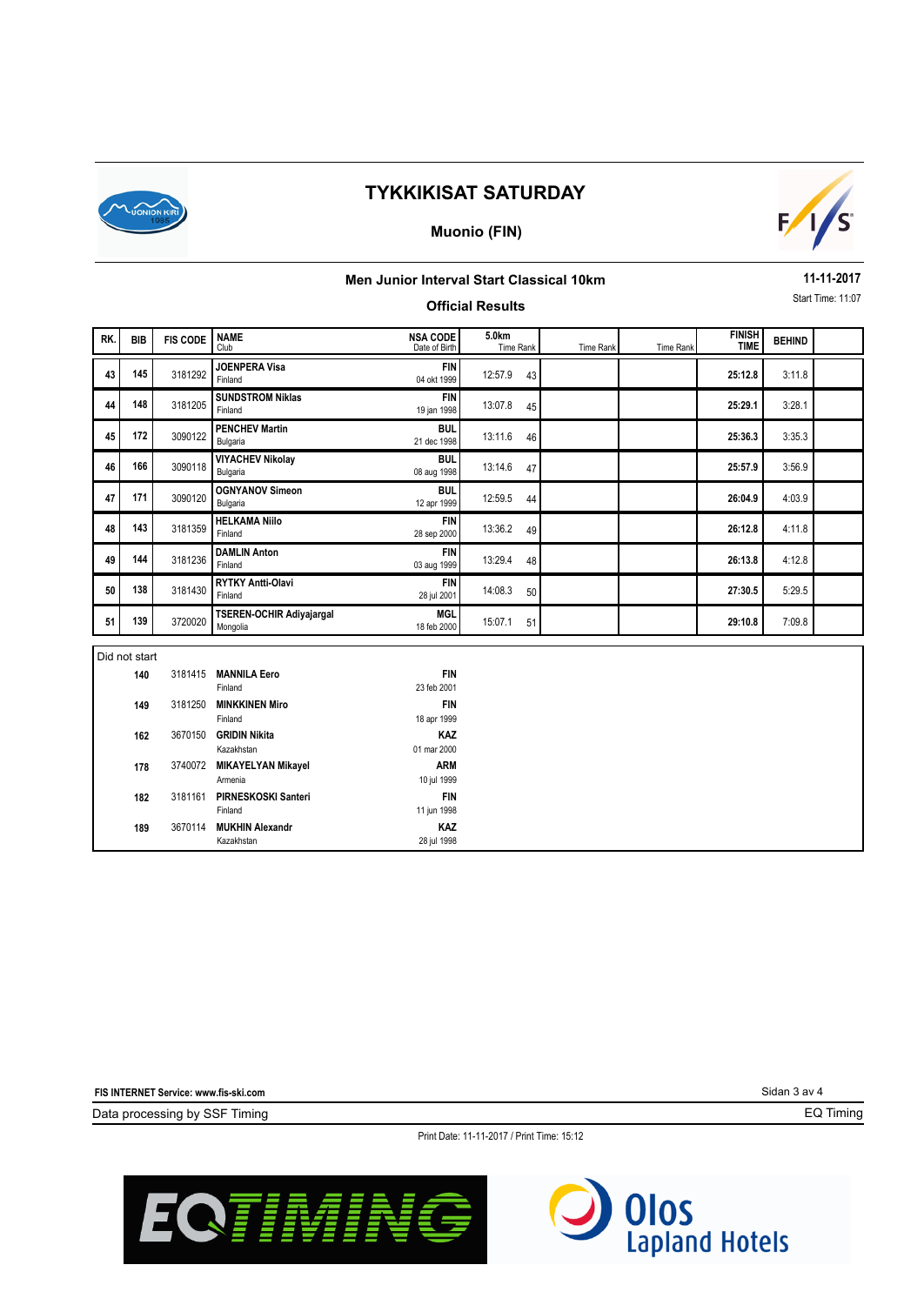

### **Muonio (FIN)**



### **Men Junior Interval Start Classical 10km**

### **Official Results**

**11-11-2017** Start Time: 11:07

| RK. | <b>BIB</b>     | <b>FIS CODE</b> | <b>NAME</b><br>Club                   | <b>NSA CODE</b><br>Date of Birth | 5.0km<br><b>Time Rank</b> | Time Rank | Time Rank | <b>FINISH</b><br><b>TIME</b> | <b>BEHIND</b> |  |
|-----|----------------|-----------------|---------------------------------------|----------------------------------|---------------------------|-----------|-----------|------------------------------|---------------|--|
| 43  | 145            | 3181292         | <b>JOENPERA Visa</b><br>Finland       | <b>FIN</b><br>04 okt 1999        | 12:57.9<br>43             |           |           | 25:12.8                      | 3:11.8        |  |
| 44  | 148            | 3181205         | <b>SUNDSTROM Niklas</b><br>Finland    | <b>FIN</b><br>19 jan 1998        | 13:07.8<br>45             |           |           | 25:29.1                      | 3:28.1        |  |
| 45  | 172            | 3090122         | <b>PENCHEV Martin</b><br>Bulgaria     | <b>BUL</b><br>21 dec 1998        | 13:11.6<br>46             |           |           | 25:36.3                      | 3:35.3        |  |
| 46  | 166            | 3090118         | <b>VIYACHEV Nikolay</b><br>Bulgaria   | <b>BUL</b><br>08 aug 1998        | 13:14.6<br>47             |           |           | 25:57.9                      | 3:56.9        |  |
| 47  | 171            | 3090120         | <b>OGNYANOV Simeon</b><br>Bulgaria    | <b>BUL</b><br>12 apr 1999        | 12:59.5<br>44             |           |           | 26:04.9                      | 4:03.9        |  |
| 48  | 143            | 3181359         | <b>HELKAMA Niilo</b><br>Finland       | <b>FIN</b><br>28 sep 2000        | 13:36.2<br>49             |           |           | 26:12.8                      | 4:11.8        |  |
| 49  | 144            | 3181236         | <b>DAMLIN Anton</b><br>Finland        | <b>FIN</b><br>03 aug 1999        | 13:29.4<br>48             |           |           | 26:13.8                      | 4:12.8        |  |
| 50  | 138            | 3181430         | RYTKY Antti-Olavi<br>Finland          | <b>FIN</b><br>28 jul 2001        | 14:08.3<br>50             |           |           | 27:30.5                      | 5:29.5        |  |
| 51  | 139<br>3720020 |                 | TSEREN-OCHIR Adiyajargal<br>Mongolia  | <b>MGL</b><br>18 feb 2000        | 15:07.1<br>51             |           |           | 29:10.8                      | 7:09.8        |  |
|     | Did not start  |                 |                                       |                                  |                           |           |           |                              |               |  |
|     | 140            | 3181415         | <b>MANNILA Eero</b><br>Finland        | <b>FIN</b><br>23 feb 2001        |                           |           |           |                              |               |  |
|     | 3181250<br>149 |                 | <b>MINKKINEN Miro</b><br>Finland      | <b>FIN</b><br>18 apr 1999        |                           |           |           |                              |               |  |
|     | 3670150<br>162 |                 | <b>GRIDIN Nikita</b><br>Kazakhstan    | KAZ<br>01 mar 2000               |                           |           |           |                              |               |  |
|     | 178            |                 | 3740072 MIKAYELYAN Mikayel<br>Armenia | <b>ARM</b><br>10 jul 1999        |                           |           |           |                              |               |  |
|     | 182            | 3181161         | <b>PIRNESKOSKI Santeri</b><br>Finland | <b>FIN</b><br>11 jun 1998        |                           |           |           |                              |               |  |
|     | 189            |                 | 3670114 MUKHIN Alexandr               | KAZ                              |                           |           |           |                              |               |  |

28 jul 1998

**FIS INTERNET Service: www.fis-ski.com**

Kazakhstan

Data processing by SSF Timing

Sidan 3 av 4

EQ Timing

Print Date: 11-11-2017 / Print Time: 15:12